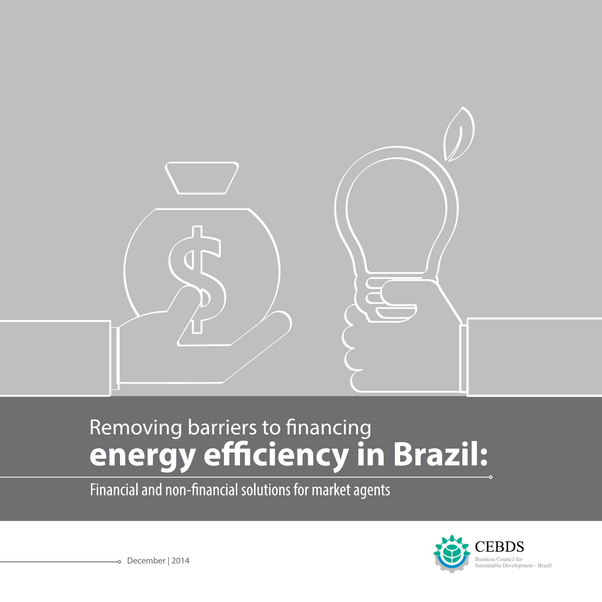

# Removing barriers to financing<br> **energy efficiency in Brazil:**

Financial and non-financial solutions for market agents

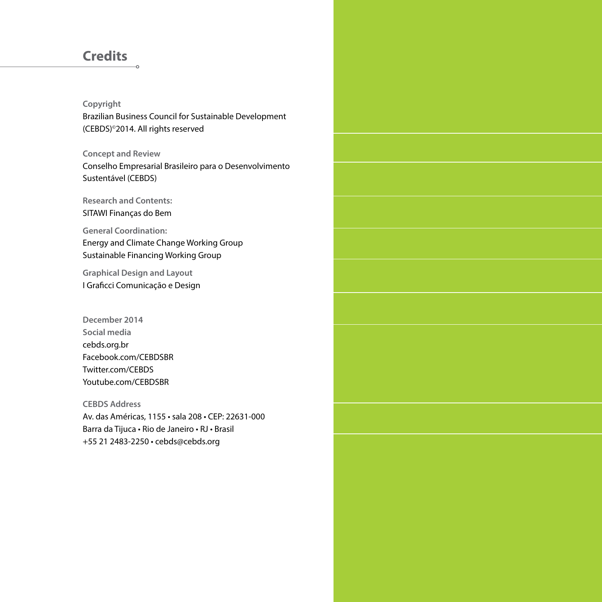#### **Credits**

#### **Copyright**

Brazilian Business Council for Sustainable Development (CEBDS)©2014. All rights reserved

**Concept and Review**

Conselho Empresarial Brasileiro para o Desenvolvimento Sustentável (CEBDS)

**Research and Contents:**  SITAWI Finanças do Bem

**General Coordination:**  Energy and Climate Change Working Group Sustainable Financing Working Group

**Graphical Design and Layout** I Graficci Comunicação e Design

**December 2014 Social media** cebds.org.br Facebook.com/CEBDSBR Twitter.com/CEBDS Youtube.com/CEBDSBR

**CEBDS Address** Av. das Américas, 1155 • sala 208 • CEP: 22631-000 Barra da Tijuca • Rio de Janeiro • RJ • Brasil +55 21 2483-2250 • cebds@cebds.org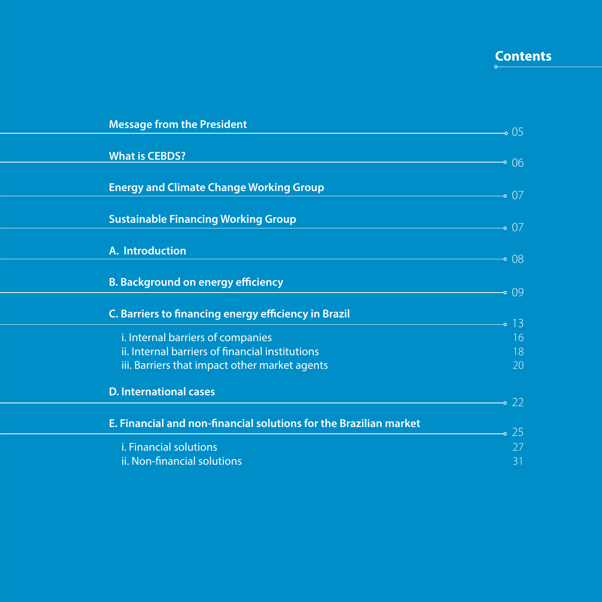### **Contents**

| <b>Message from the President</b>                                 | $\overline{\phantom{0}}$ 05 |
|-------------------------------------------------------------------|-----------------------------|
|                                                                   |                             |
| <b>What is CEBDS?</b>                                             | $-0.06$                     |
|                                                                   |                             |
| <b>Energy and Climate Change Working Group</b>                    | $\sim 07$                   |
| <b>Sustainable Financing Working Group</b>                        | $-0.07$                     |
|                                                                   |                             |
| A. Introduction                                                   | -08                         |
| <b>B. Background on energy efficiency</b>                         | $-0.09$                     |
| <b>C. Barriers to financing energy efficiency in Brazil</b>       |                             |
| i. Internal barriers of companies                                 | 13<br>16                    |
| ii. Internal barriers of financial institutions                   | 18                          |
| iii. Barriers that impact other market agents                     | 20                          |
| <b>D. International cases</b>                                     |                             |
|                                                                   | $\sim$ 22 $\,$              |
| E. Financial and non-financial solutions for the Brazilian market | 25                          |
| i. Financial solutions                                            | 27                          |
| ii. Non-financial solutions                                       | 31                          |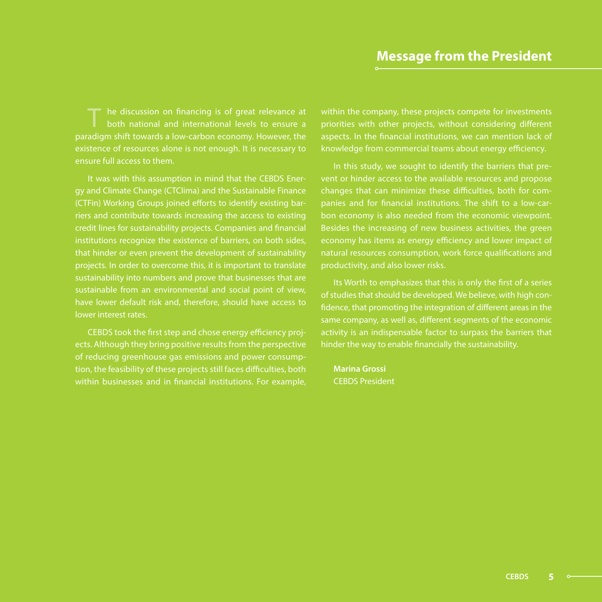he discussion on financing is of great relevance at both national and international levels to ensure a paradigm shift towards a low-carbon economy. However, the existence of resources alone is not enough. It is necessary to ensure full access to them.

It was with this assumption in mind that the CEBDS Energy and Climate Change (CTClima) and the Sustainable Finance (CTFin) Working Groups joined efforts to identify existing barriers and contribute towards increasing the access to existing credit lines for sustainability projects. Companies and financial institutions recognize the existence of barriers, on both sides, that hinder or even prevent the development of sustainability projects. In order to overcome this, it is important to translate sustainability into numbers and prove that businesses that are sustainable from an environmental and social point of view, have lower default risk and, therefore, should have access to lower interest rates.

CEBDS took the first step and chose energy efficiency projects. Although they bring positive results from the perspective of reducing greenhouse gas emissions and power consumption, the feasibility of these projects still faces difficulties, both within businesses and in financial institutions. For example,

within the company, these projects compete for investments priorities with other projects, without considering different aspects. In the financial institutions, we can mention lack of knowledge from commercial teams about energy efficiency.

In this study, we sought to identify the barriers that prevent or hinder access to the available resources and propose changes that can minimize these difficulties, both for companies and for financial institutions. The shift to a low-carbon economy is also needed from the economic viewpoint. Besides the increasing of new business activities, the green economy has items as energy efficiency and lower impact of natural resources consumption, work force qualifications and productivity, and also lower risks.

Its Worth to emphasizes that this is only the first of a series of studies that should be developed. We believe, with high confidence, that promoting the integration of different areas in the same company, as well as, different segments of the economic activity is an indispensable factor to surpass the barriers that hinder the way to enable financially the sustainability.

**Marina Grossi** CEBDS President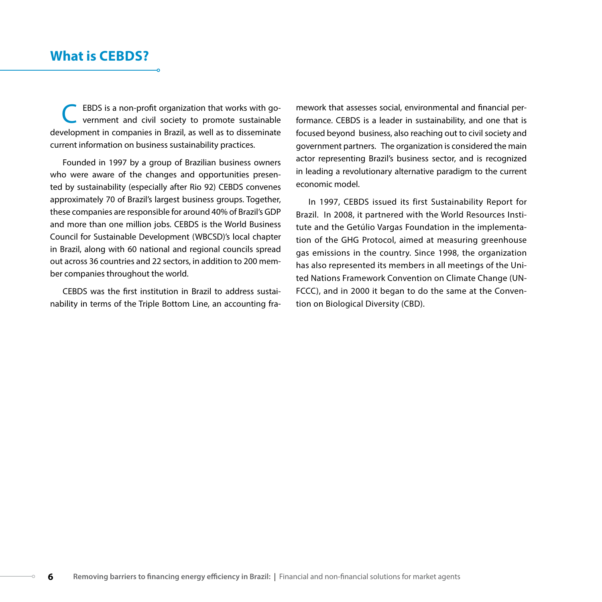EBDS is a non-profit organization that works with government and civil society to promote sustainable development in companies in Brazil, as well as to disseminate current information on business sustainability practices.

Founded in 1997 by a group of Brazilian business owners who were aware of the changes and opportunities presented by sustainability (especially after Rio 92) CEBDS convenes approximately 70 of Brazil's largest business groups. Together, these companies are responsible for around 40% of Brazil's GDP and more than one million jobs. CEBDS is the World Business Council for Sustainable Development (WBCSD)'s local chapter in Brazil, along with 60 national and regional councils spread out across 36 countries and 22 sectors, in addition to 200 member companies throughout the world.

CEBDS was the first institution in Brazil to address sustainability in terms of the Triple Bottom Line, an accounting framework that assesses social, environmental and financial performance. CEBDS is a leader in sustainability, and one that is focused beyond business, also reaching out to civil society and government partners. The organization is considered the main actor representing Brazil's business sector, and is recognized in leading a revolutionary alternative paradigm to the current economic model.

In 1997, CEBDS issued its first Sustainability Report for Brazil. In 2008, it partnered with the World Resources Institute and the Getúlio Vargas Foundation in the implementation of the GHG Protocol, aimed at measuring greenhouse gas emissions in the country. Since 1998, the organization has also represented its members in all meetings of the United Nations Framework Convention on Climate Change (UN-FCCC), and in 2000 it began to do the same at the Convention on Biological Diversity (CBD).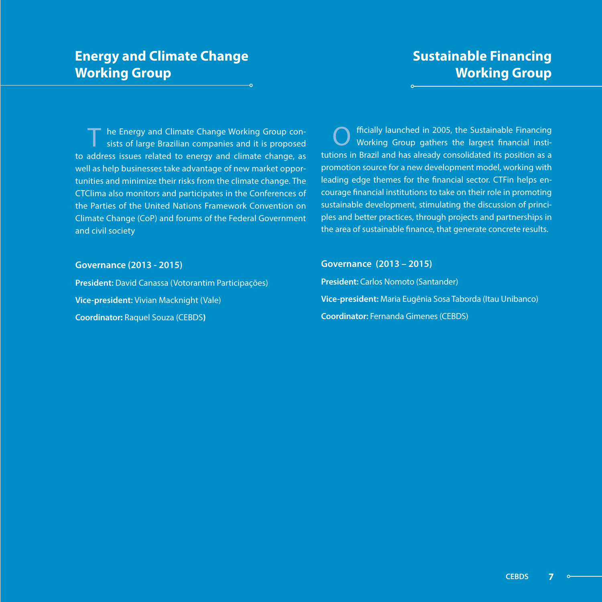#### **Sustainable Financing Working Group**

he Energy and Climate Change Working Group consists of large Brazilian companies and it is proposed to address issues related to energy and climate change, as well as help businesses take advantage of new market opportunities and minimize their risks from the climate change. The CTClima also monitors and participates in the Conferences of the Parties of the United Nations Framework Convention on Climate Change (CoP) and forums of the Federal Government and civil society

O fficially launched in 2005, the Sustainable Financing Working Group gathers the largest financial institutions in Brazil and has already consolidated its position as a promotion source for a new development model, working with leading edge themes for the financial sector. CTFin helps encourage financial institutions to take on their role in promoting sustainable development, stimulating the discussion of principles and better practices, through projects and partnerships in the area of sustainable finance, that generate concrete results.

#### **Governance (2013 - 2015)**

**President:** David Canassa (Votorantim Participações) **Vice-president:** Vivian Macknight (Vale) **Coordinator:** Raquel Souza (CEBDS**)**

#### **Governance (2013 – 2015)**

**President:** Carlos Nomoto (Santander) **Vice-president:** Maria Eugênia Sosa Taborda (Itau Unibanco) **Coordinator:** Fernanda Gimenes (CEBDS)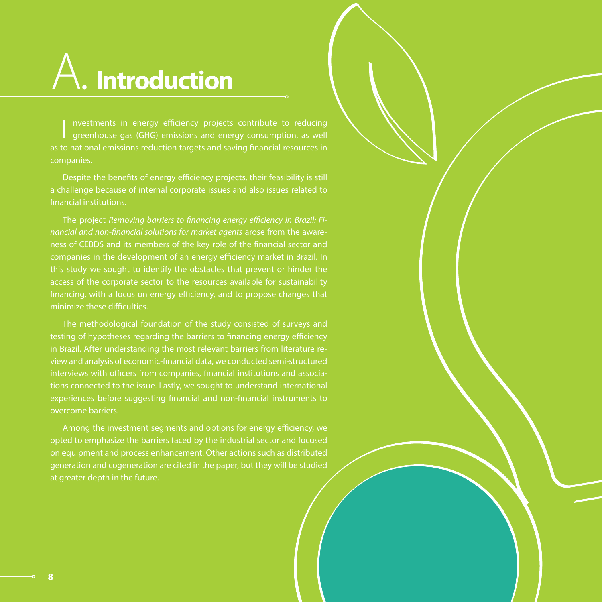## A. **Introduction**

I nvestments in energy efficiency projects contribute to reducing<br>greenhouse gas (GHG) emissions and energy consumption, as well as to national emissions reduction targets and saving financial resources in

Despite the benefits of energy efficiency projects, their feasibility is still a challenge because of internal corporate issues and also issues related to financial institutions.

The project *Removing barriers to financing energy efficiency in Brazil: Financial and non-financial solutions for market agents* arose from the awareness of CEBDS and its members of the key role of the financial sector and companies in the development of an energy efficiency market in Brazil. In this study we sought to identify the obstacles that prevent or hinder the access of the corporate sector to the resources available for sustainability financing, with a focus on energy efficiency, and to propose changes that minimize these difficulties.

The methodological foundation of the study consisted of surveys and testing of hypotheses regarding the barriers to financing energy efficiency in Brazil. After understanding the most relevant barriers from literature review and analysis of economic-financial data, we conducted semi-structured interviews with officers from companies, financial institutions and associations connected to the issue. Lastly, we sought to understand international experiences before suggesting financial and non-financial instruments to overcome barriers.

Among the investment segments and options for energy efficiency, we opted to emphasize the barriers faced by the industrial sector and focused on equipment and process enhancement. Other actions such as distributed generation and cogeneration are cited in the paper, but they will be studied at greater depth in the future.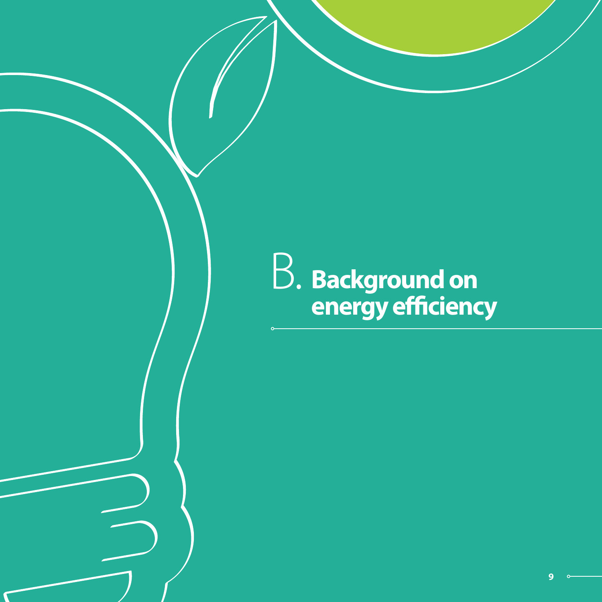## **Background on energy efficiency** B.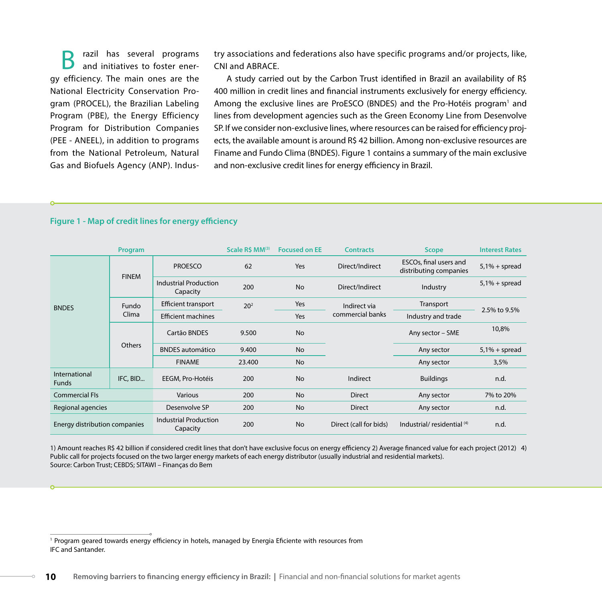**B** razil has several programs and initiatives to foster energy efficiency. The main ones are the National Electricity Conservation Program (PROCEL), the Brazilian Labeling Program (PBE), the Energy Efficiency Program for Distribution Companies (PEE - ANEEL), in addition to programs from the National Petroleum, Natural Gas and Biofuels Agency (ANP). Indus-

try associations and federations also have specific programs and/or projects, like, CNI and ABRACE.

A study carried out by the Carbon Trust identified in Brazil an availability of R\$ 400 million in credit lines and financial instruments exclusively for energy efficiency. Among the exclusive lines are ProESCO (BNDES) and the Pro-Hotéis program<sup>1</sup> and lines from development agencies such as the Green Economy Line from Desenvolve SP. If we consider non-exclusive lines, where resources can be raised for efficiency projects, the available amount is around R\$ 42 billion. Among non-exclusive resources are Finame and Fundo Clima (BNDES). Figure 1 contains a summary of the main exclusive and non-exclusive credit lines for energy efficiency in Brazil.

|  |  | Figure 1 - Map of credit lines for energy efficiency |  |  |
|--|--|------------------------------------------------------|--|--|
|--|--|------------------------------------------------------|--|--|

|                               | Program        |                                          | Scale R\$ MM(3) | <b>Focused on EE</b> | <b>Contracts</b>                 | <b>Scope</b>                                     | <b>Interest Rates</b> |
|-------------------------------|----------------|------------------------------------------|-----------------|----------------------|----------------------------------|--------------------------------------------------|-----------------------|
| <b>BNDES</b>                  | <b>FINEM</b>   | <b>PROESCO</b>                           | 62              | Yes                  | Direct/Indirect                  | ESCOs, final users and<br>distributing companies | $5,1% + spread$       |
|                               |                | <b>Industrial Production</b><br>Capacity | 200             | <b>No</b>            | Direct/Indirect                  | Industry                                         | $5.1\% + spread$      |
|                               | Fundo<br>Clima | Efficient transport                      | 20 <sup>2</sup> | Yes                  | Indirect via<br>commercial banks | Transport                                        | 2.5% to 9.5%          |
|                               |                | <b>Efficient machines</b>                |                 | Yes                  |                                  | Industry and trade                               |                       |
|                               | <b>Others</b>  | Cartão BNDES                             | 9.500           | <b>No</b>            |                                  | Any sector - SME                                 | 10,8%                 |
|                               |                | <b>BNDES</b> automático                  | 9.400           | <b>No</b>            |                                  | Any sector                                       | $5.1\% + spread$      |
|                               |                | <b>FINAME</b>                            | 23.400          | <b>No</b>            |                                  | Any sector                                       | 3,5%                  |
| International<br><b>Funds</b> | IFC, BID       | EEGM, Pro-Hotéis                         | 200             | <b>No</b>            | Indirect                         | <b>Buildings</b>                                 | n.d.                  |
| <b>Commercial Fls</b>         |                | <b>Various</b>                           | 200             | <b>No</b>            | <b>Direct</b>                    | Any sector                                       | 7% to 20%             |
| Regional agencies             |                | Desenvolve SP                            | 200             | <b>No</b>            | <b>Direct</b>                    | Any sector                                       | n.d.                  |
| Energy distribution companies |                | <b>Industrial Production</b><br>Capacity | 200             | <b>No</b>            | Direct (call for bids)           | Industrial/residential <sup>(4)</sup>            | n.d.                  |

1) Amount reaches R\$ 42 billion if considered credit lines that don't have exclusive focus on energy efficiency 2) Average financed value for each project (2012) 4) Public call for projects focused on the two larger energy markets of each energy distributor (usually industrial and residential markets). Source: Carbon Trust; CEBDS; SITAWI – Finanças do Bem

<sup>1</sup> Program geared towards energy efficiency in hotels, managed by Energia Eficiente with resources from IFC and Santander.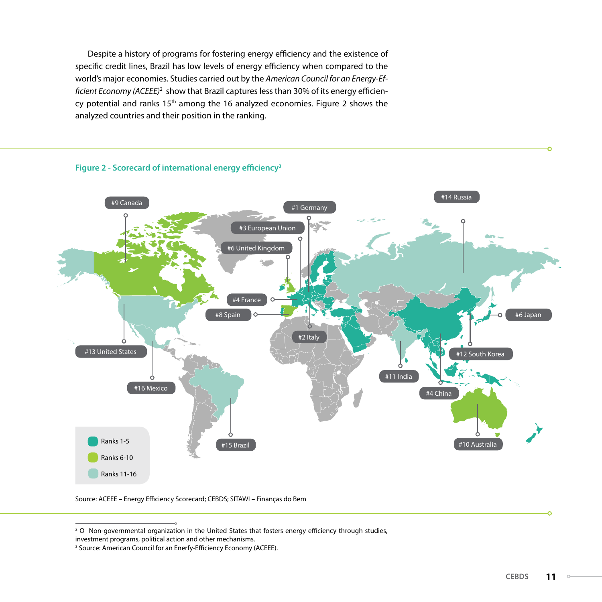Despite a history of programs for fostering energy efficiency and the existence of specific credit lines, Brazil has low levels of energy efficiency when compared to the world's major economies. Studies carried out by the *American Council for an Energy-Efficient Economy (ACEEE)*<sup>2</sup> show that Brazil captures less than 30% of its energy efficiency potential and ranks 15<sup>th</sup> among the 16 analyzed economies. Figure 2 shows the analyzed countries and their position in the ranking.



Source: ACEEE – Energy Efficiency Scorecard; CEBDS; SITAWI – Finanças do Bem

<sup>&</sup>lt;sup>2</sup> O Non-governmental organization in the United States that fosters energy efficiency through studies,

investment programs, political action and other mechanisms.

<sup>&</sup>lt;sup>3</sup> Source: American Council for an Enerfy-Efficiency Economy (ACEEE).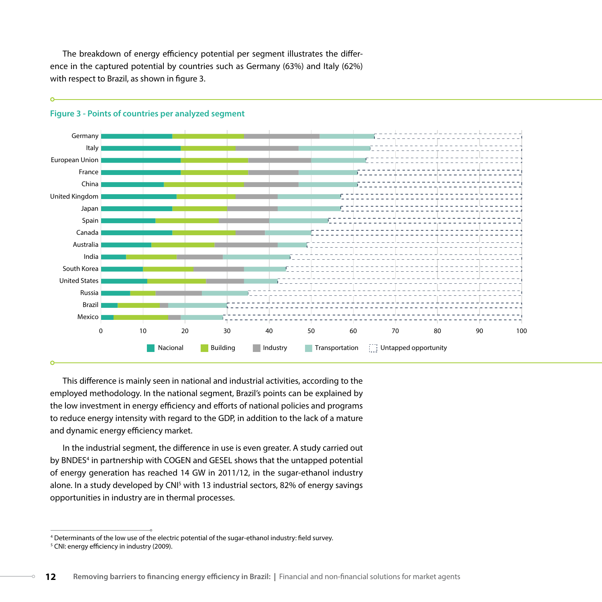The breakdown of energy efficiency potential per segment illustrates the difference in the captured potential by countries such as Germany (63%) and Italy (62%) with respect to Brazil, as shown in figure 3.



#### **Figure 3 - Points of countries per analyzed segment**

This difference is mainly seen in national and industrial activities, according to the employed methodology. In the national segment, Brazil's points can be explained by the low investment in energy efficiency and efforts of national policies and programs to reduce energy intensity with regard to the GDP, in addition to the lack of a mature and dynamic energy efficiency market.

In the industrial segment, the difference in use is even greater. A study carried out by BNDES<sup>4</sup> in partnership with COGEN and GESEL shows that the untapped potential of energy generation has reached 14 GW in 2011/12, in the sugar-ethanol industry alone. In a study developed by CNI<sup>5</sup> with 13 industrial sectors, 82% of energy savings opportunities in industry are in thermal processes.

<sup>4</sup> Determinants of the low use of the electric potential of the sugar-ethanol industry: field survey.

<sup>5</sup> CNI: energy efficiency in industry (2009).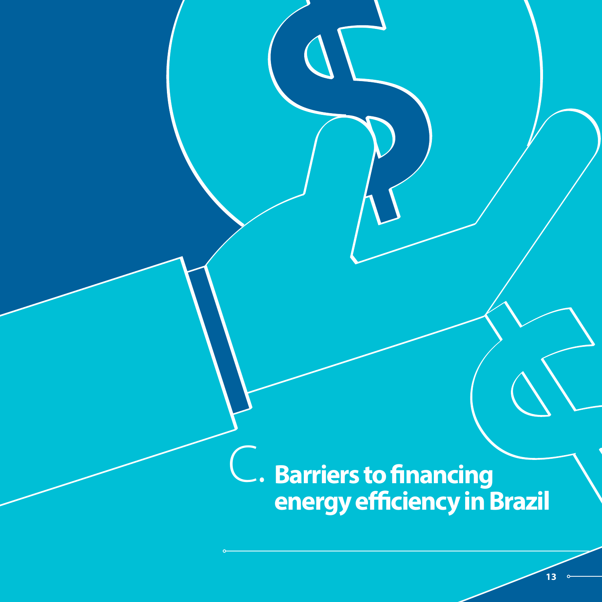**Barriers to financing energy efficiency in Brazil** c.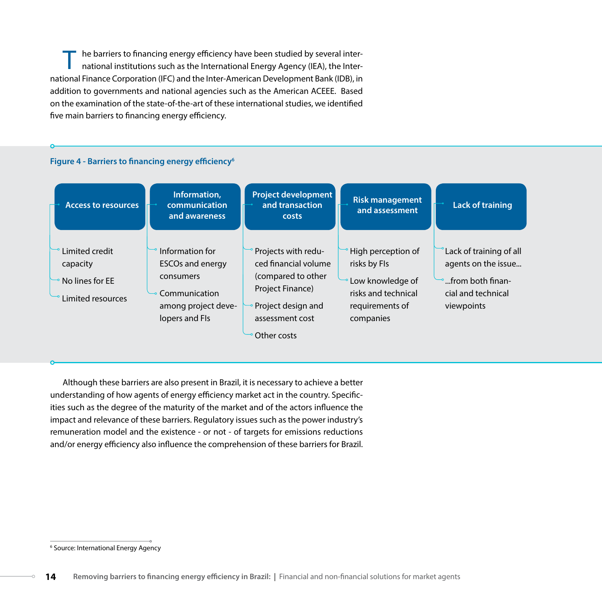he barriers to financing energy efficiency have been studied by several international institutions such as the International Energy Agency (IEA), the International Finance Corporation (IFC) and the Inter-American Development Bank (IDB), in addition to governments and national agencies such as the American ACEEE. Based on the examination of the state-of-the-art of these international studies, we identified five main barriers to financing energy efficiency.

#### **Figure 4 - Barriers to financing energy efficiency6**



Although these barriers are also present in Brazil, it is necessary to achieve a better understanding of how agents of energy efficiency market act in the country. Specificities such as the degree of the maturity of the market and of the actors influence the impact and relevance of these barriers. Regulatory issues such as the power industry's remuneration model and the existence - or not - of targets for emissions reductions and/or energy efficiency also influence the comprehension of these barriers for Brazil.

<sup>6</sup> Source: International Energy Agency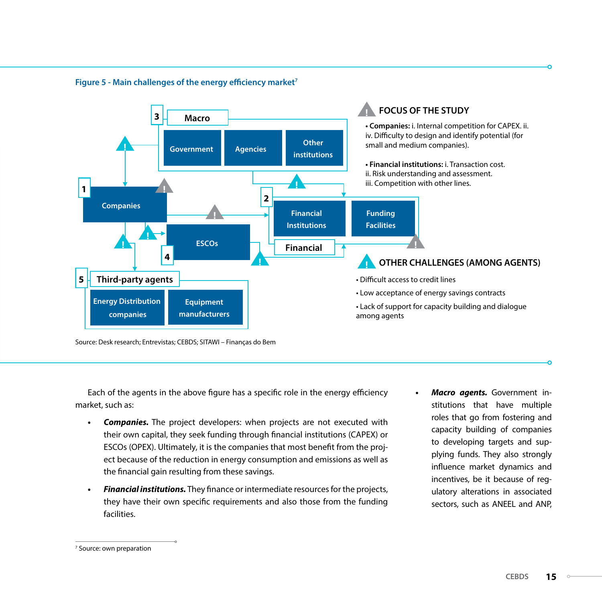

#### **Figure 5 - Main challenges of the energy efficiency market7**

Source: Desk research; Entrevistas; CEBDS; SITAWI – Finanças do Bem

Each of the agents in the above figure has a specific role in the energy efficiency market, such as:

- **Companies.** The project developers: when projects are not executed with their own capital, they seek funding through financial institutions (CAPEX) or ESCOs (OPEX). Ultimately, it is the companies that most benefit from the project because of the reduction in energy consumption and emissions as well as the financial gain resulting from these savings.
- **Financial institutions.** They finance or intermediate resources for the projects, they have their own specific requirements and also those from the funding facilities.
- **Macro agents.** Government institutions that have multiple roles that go from fostering and capacity building of companies to developing targets and supplying funds. They also strongly influence market dynamics and incentives, be it because of regulatory alterations in associated sectors, such as ANEEL and ANP,

<sup>7</sup> Source: own preparation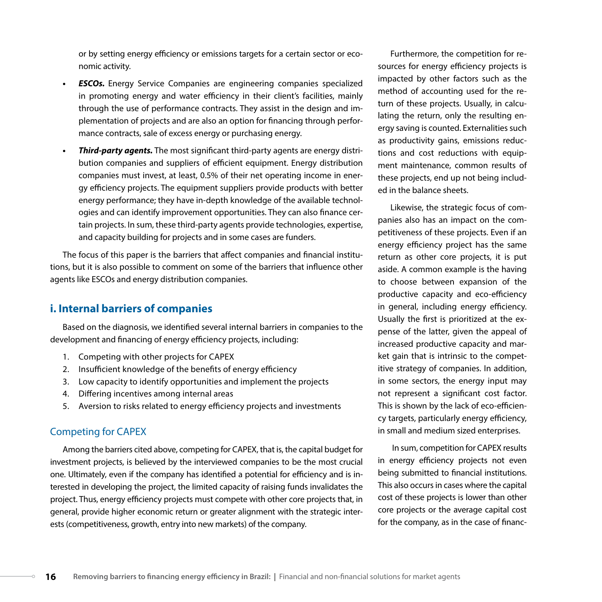or by setting energy efficiency or emissions targets for a certain sector or economic activity.

- **ESCOs.** Energy Service Companies are engineering companies specialized in promoting energy and water efficiency in their client's facilities, mainly through the use of performance contracts. They assist in the design and implementation of projects and are also an option for financing through performance contracts, sale of excess energy or purchasing energy.
- *Third-party agents.* The most significant third-party agents are energy distribution companies and suppliers of efficient equipment. Energy distribution companies must invest, at least, 0.5% of their net operating income in energy efficiency projects. The equipment suppliers provide products with better energy performance; they have in-depth knowledge of the available technologies and can identify improvement opportunities. They can also finance certain projects. In sum, these third-party agents provide technologies, expertise, and capacity building for projects and in some cases are funders.

The focus of this paper is the barriers that affect companies and financial institutions, but it is also possible to comment on some of the barriers that influence other agents like ESCOs and energy distribution companies.

#### **i. Internal barriers of companies**

Based on the diagnosis, we identified several internal barriers in companies to the development and financing of energy efficiency projects, including:

- 1. Competing with other projects for CAPEX
- 2. Insufficient knowledge of the benefits of energy efficiency
- 3. Low capacity to identify opportunities and implement the projects
- 4. Differing incentives among internal areas
- 5. Aversion to risks related to energy efficiency projects and investments

#### Competing for CAPEX

Among the barriers cited above, competing for CAPEX, that is, the capital budget for investment projects, is believed by the interviewed companies to be the most crucial one. Ultimately, even if the company has identified a potential for efficiency and is interested in developing the project, the limited capacity of raising funds invalidates the project. Thus, energy efficiency projects must compete with other core projects that, in general, provide higher economic return or greater alignment with the strategic interests (competitiveness, growth, entry into new markets) of the company.

Furthermore, the competition for resources for energy efficiency projects is impacted by other factors such as the method of accounting used for the return of these projects. Usually, in calculating the return, only the resulting energy saving is counted. Externalities such as productivity gains, emissions reductions and cost reductions with equipment maintenance, common results of these projects, end up not being included in the balance sheets.

Likewise, the strategic focus of companies also has an impact on the competitiveness of these projects. Even if an energy efficiency project has the same return as other core projects, it is put aside. A common example is the having to choose between expansion of the productive capacity and eco-efficiency in general, including energy efficiency. Usually the first is prioritized at the expense of the latter, given the appeal of increased productive capacity and market gain that is intrinsic to the competitive strategy of companies. In addition, in some sectors, the energy input may not represent a significant cost factor. This is shown by the lack of eco-efficiency targets, particularly energy efficiency, in small and medium sized enterprises.

 In sum, competition for CAPEX results in energy efficiency projects not even being submitted to financial institutions. This also occurs in cases where the capital cost of these projects is lower than other core projects or the average capital cost for the company, as in the case of financ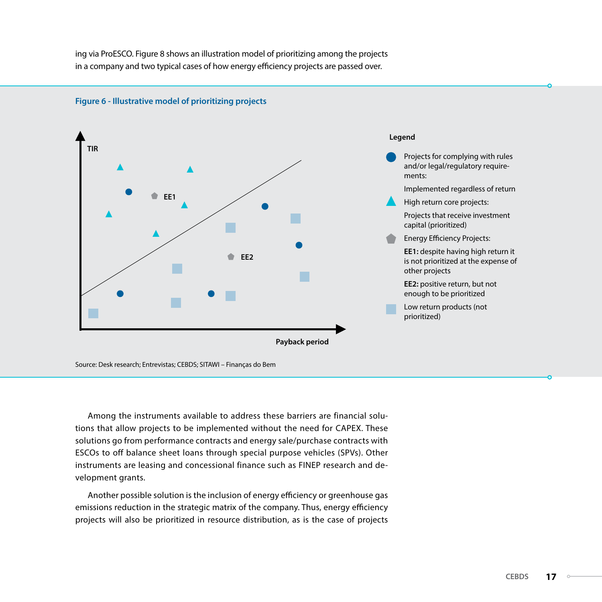ing via ProESCO. Figure 8 shows an illustration model of prioritizing among the projects in a company and two typical cases of how energy efficiency projects are passed over.



**Figure 6 - Illustrative model of prioritizing projects**

Source: Desk research; Entrevistas; CEBDS; SITAWI – Finanças do Bem

Among the instruments available to address these barriers are financial solutions that allow projects to be implemented without the need for CAPEX. These solutions go from performance contracts and energy sale/purchase contracts with ESCOs to off balance sheet loans through special purpose vehicles (SPVs). Other instruments are leasing and concessional finance such as FINEP research and development grants.

Another possible solution is the inclusion of energy efficiency or greenhouse gas emissions reduction in the strategic matrix of the company. Thus, energy efficiency projects will also be prioritized in resource distribution, as is the case of projects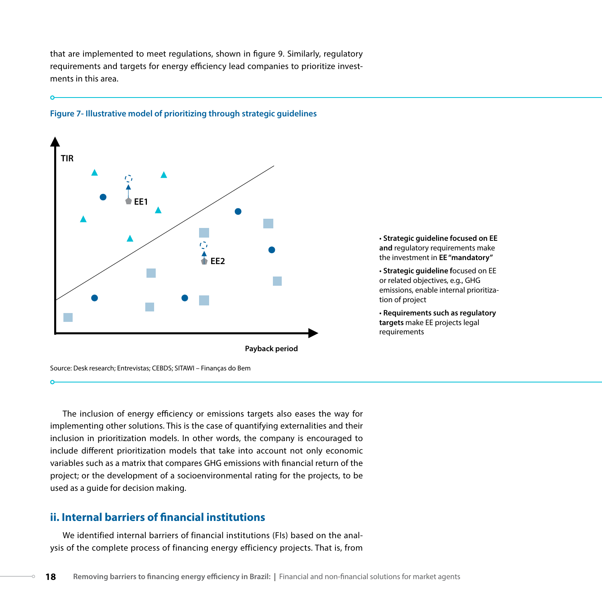that are implemented to meet regulations, shown in figure 9. Similarly, regulatory requirements and targets for energy efficiency lead companies to prioritize investments in this area.





• **Strategic guideline focused on EE and** regulatory requirements make the investment in **EE "mandatory"**

• **Strategic guideline f**ocused on EE or related objectives, e.g., GHG emissions, enable internal prioritization of project

• **Requirements such as regulatory targets** make EE projects legal requirements

Source: Desk research; Entrevistas; CEBDS; SITAWI – Finanças do Bem

The inclusion of energy efficiency or emissions targets also eases the way for implementing other solutions. This is the case of quantifying externalities and their inclusion in prioritization models. In other words, the company is encouraged to include different prioritization models that take into account not only economic variables such as a matrix that compares GHG emissions with financial return of the project; or the development of a socioenvironmental rating for the projects, to be used as a guide for decision making.

#### **ii. Internal barriers of financial institutions**

We identified internal barriers of financial institutions (FIs) based on the analysis of the complete process of financing energy efficiency projects. That is, from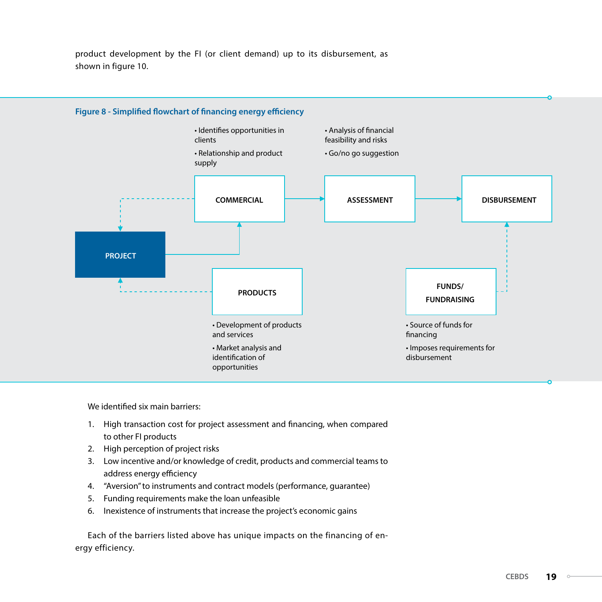product development by the FI (or client demand) up to its disbursement, as shown in figure 10.



We identified six main barriers:

- 1. High transaction cost for project assessment and financing, when compared to other FI products
- 2. High perception of project risks
- 3. Low incentive and/or knowledge of credit, products and commercial teams to address energy efficiency
- 4. "Aversion" to instruments and contract models (performance, guarantee)
- 5. Funding requirements make the loan unfeasible
- 6. Inexistence of instruments that increase the project's economic gains

Each of the barriers listed above has unique impacts on the financing of energy efficiency.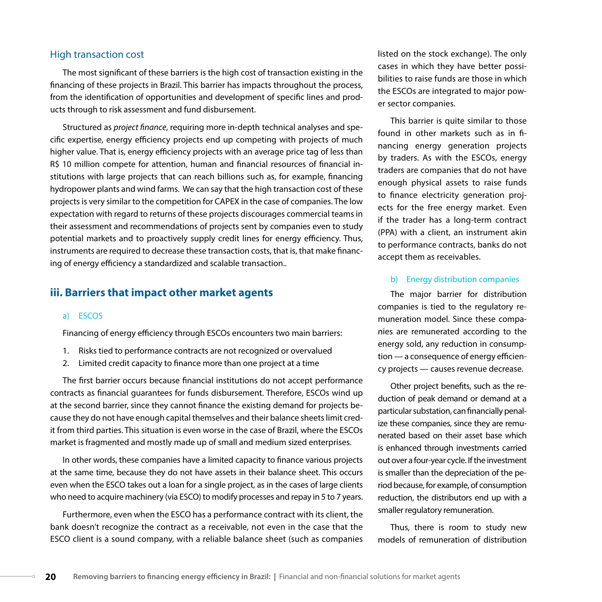#### High transaction cost

The most significant of these barriers is the high cost of transaction existing in the financing of these projects in Brazil. This barrier has impacts throughout the process, from the identification of opportunities and development of specific lines and products through to risk assessment and fund disbursement.

Structured as *project finance*, requiring more in-depth technical analyses and specific expertise, energy efficiency projects end up competing with projects of much higher value. That is, energy efficiency projects with an average price tag of less than R\$ 10 million compete for attention, human and financial resources of financial institutions with large projects that can reach billions such as, for example, financing hydropower plants and wind farms. We can say that the high transaction cost of these projects is very similar to the competition for CAPEX in the case of companies. The low expectation with regard to returns of these projects discourages commercial teams in their assessment and recommendations of projects sent by companies even to study potential markets and to proactively supply credit lines for energy efficiency. Thus, instruments are required to decrease these transaction costs, that is, that make financing of energy efficiency a standardized and scalable transaction..

#### **iii. Barriers that impact other market agents**

#### a) ESCOS

Financing of energy efficiency through ESCOs encounters two main barriers:

- 1. Risks tied to performance contracts are not recognized or overvalued
- 2. Limited credit capacity to finance more than one project at a time

The first barrier occurs because financial institutions do not accept performance contracts as financial guarantees for funds disbursement. Therefore, ESCOs wind up at the second barrier, since they cannot finance the existing demand for projects because they do not have enough capital themselves and their balance sheets limit credit from third parties. This situation is even worse in the case of Brazil, where the ESCOs market is fragmented and mostly made up of small and medium sized enterprises.

In other words, these companies have a limited capacity to finance various projects at the same time, because they do not have assets in their balance sheet. This occurs even when the ESCO takes out a loan for a single project, as in the cases of large clients who need to acquire machinery (via ESCO) to modify processes and repay in 5 to 7 years.

Furthermore, even when the ESCO has a performance contract with its client, the bank doesn't recognize the contract as a receivable, not even in the case that the ESCO client is a sound company, with a reliable balance sheet (such as companies

listed on the stock exchange). The only cases in which they have better possibilities to raise funds are those in which the ESCOs are integrated to major power sector companies.

This barrier is quite similar to those found in other markets such as in financing energy generation projects by traders. As with the ESCOs, energy traders are companies that do not have enough physical assets to raise funds to finance electricity generation projects for the free energy market. Even if the trader has a long-term contract (PPA) with a client, an instrument akin to performance contracts, banks do not accept them as receivables.

#### b) Energy distribution companies

The major barrier for distribution companies is tied to the regulatory remuneration model. Since these companies are remunerated according to the energy sold, any reduction in consumption — a consequence of energy efficiency projects — causes revenue decrease.

Other project benefits, such as the reduction of peak demand or demand at a particular substation, can financially penalize these companies, since they are remunerated based on their asset base which is enhanced through investments carried out over a four-year cycle. If the investment is smaller than the depreciation of the period because, for example, of consumption reduction, the distributors end up with a smaller regulatory remuneration.

Thus, there is room to study new models of remuneration of distribution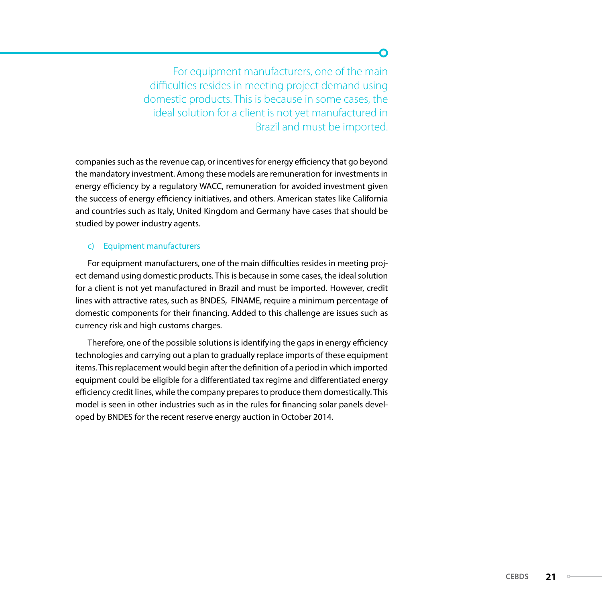For equipment manufacturers, one of the main difficulties resides in meeting project demand using domestic products. This is because in some cases, the ideal solution for a client is not yet manufactured in Brazil and must be imported.

companies such as the revenue cap, or incentives for energy efficiency that go beyond the mandatory investment. Among these models are remuneration for investments in energy efficiency by a regulatory WACC, remuneration for avoided investment given the success of energy efficiency initiatives, and others. American states like California and countries such as Italy, United Kingdom and Germany have cases that should be studied by power industry agents.

#### c) Equipment manufacturers

For equipment manufacturers, one of the main difficulties resides in meeting project demand using domestic products. This is because in some cases, the ideal solution for a client is not yet manufactured in Brazil and must be imported. However, credit lines with attractive rates, such as BNDES, FINAME, require a minimum percentage of domestic components for their financing. Added to this challenge are issues such as currency risk and high customs charges.

Therefore, one of the possible solutions is identifying the gaps in energy efficiency technologies and carrying out a plan to gradually replace imports of these equipment items. This replacement would begin after the definition of a period in which imported equipment could be eligible for a differentiated tax regime and differentiated energy efficiency credit lines, while the company prepares to produce them domestically. This model is seen in other industries such as in the rules for financing solar panels developed by BNDES for the recent reserve energy auction in October 2014.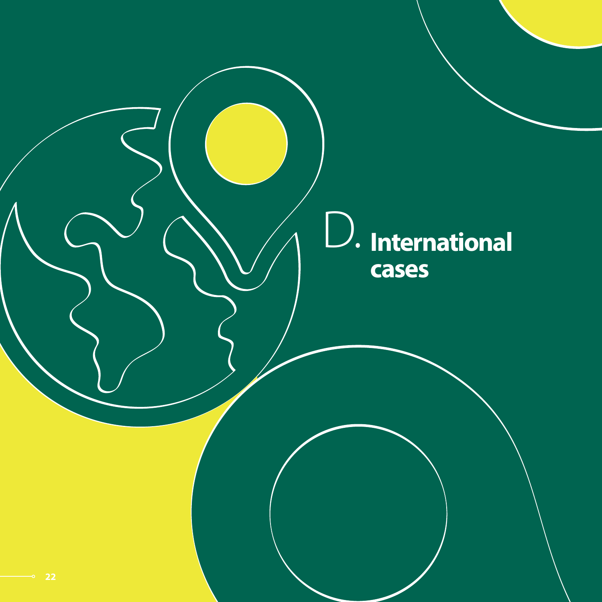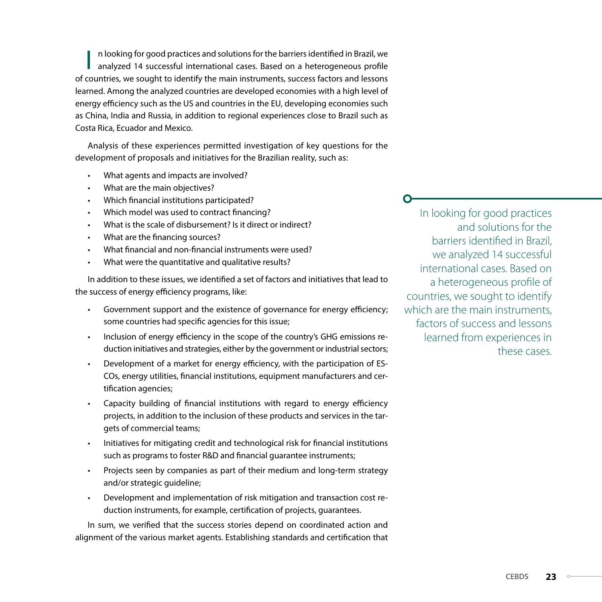I n looking for good practices and solutions for the barriers identified in Brazil, we analyzed 14 successful international cases. Based on a heterogeneous profile of countries, we sought to identify the main instruments, success factors and lessons learned. Among the analyzed countries are developed economies with a high level of energy efficiency such as the US and countries in the EU, developing economies such as China, India and Russia, in addition to regional experiences close to Brazil such as Costa Rica, Ecuador and Mexico.

Analysis of these experiences permitted investigation of key questions for the development of proposals and initiatives for the Brazilian reality, such as:

- What agents and impacts are involved?
- What are the main objectives?
- Which financial institutions participated?
- Which model was used to contract financing?
- What is the scale of disbursement? Is it direct or indirect?
- What are the financing sources?
- What financial and non-financial instruments were used?
- What were the quantitative and qualitative results?

In addition to these issues, we identified a set of factors and initiatives that lead to the success of energy efficiency programs, like:

- Government support and the existence of governance for energy efficiency; some countries had specific agencies for this issue;
- Inclusion of energy efficiency in the scope of the country's GHG emissions reduction initiatives and strategies, either by the government or industrial sectors;
- Development of a market for energy efficiency, with the participation of ES-COs, energy utilities, financial institutions, equipment manufacturers and certification agencies;
- Capacity building of financial institutions with regard to energy efficiency projects, in addition to the inclusion of these products and services in the targets of commercial teams;
- Initiatives for mitigating credit and technological risk for financial institutions such as programs to foster R&D and financial guarantee instruments;
- Projects seen by companies as part of their medium and long-term strategy and/or strategic guideline;
- Development and implementation of risk mitigation and transaction cost reduction instruments, for example, certification of projects, guarantees.

In sum, we verified that the success stories depend on coordinated action and alignment of the various market agents. Establishing standards and certification that

In looking for good practices and solutions for the barriers identified in Brazil, we analyzed 14 successful international cases. Based on a heterogeneous profile of countries, we sought to identify which are the main instruments. factors of success and lessons learned from experiences in these cases.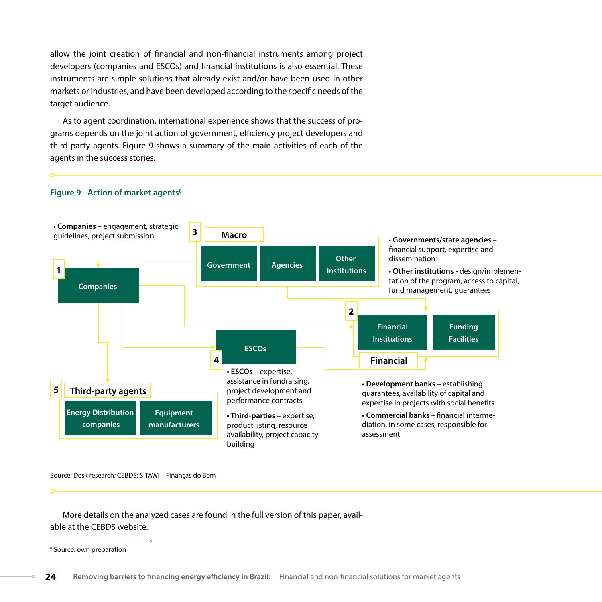allow the joint creation of financial and non-financial instruments among project developers (companies and ESCOs) and financial institutions is also essential. These instruments are simple solutions that already exist and/or have been used in other markets or industries, and have been developed according to the specific needs of the target audience.

As to agent coordination, international experience shows that the success of programs depends on the joint action of government, efficiency project developers and third-party agents. Figure 9 shows a summary of the main activities of each of the agents in the success stories.



#### **Figure 9 - Action of market agents<sup>8</sup>**

Source: Desk research; CEBDS; SITAWI – Finanças do Bem

More details on the analyzed cases are found in the full version of this paper, available at the CEBDS website.

<sup>8</sup> Source: own preparation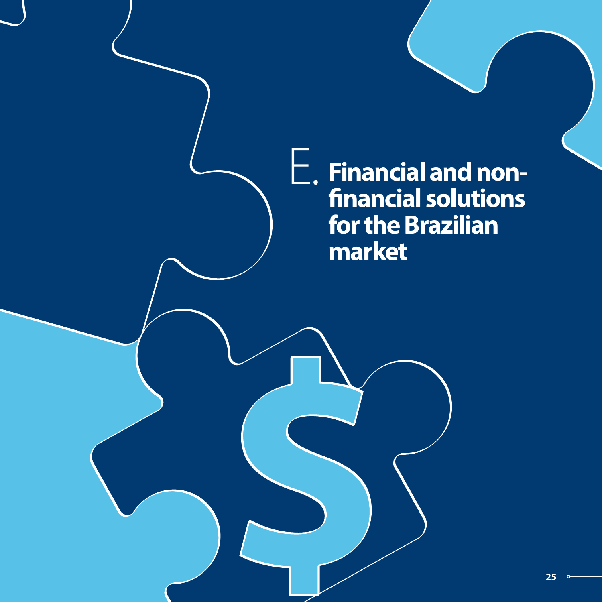**Financial and nonfinancial solutions for the Brazilian market**  E.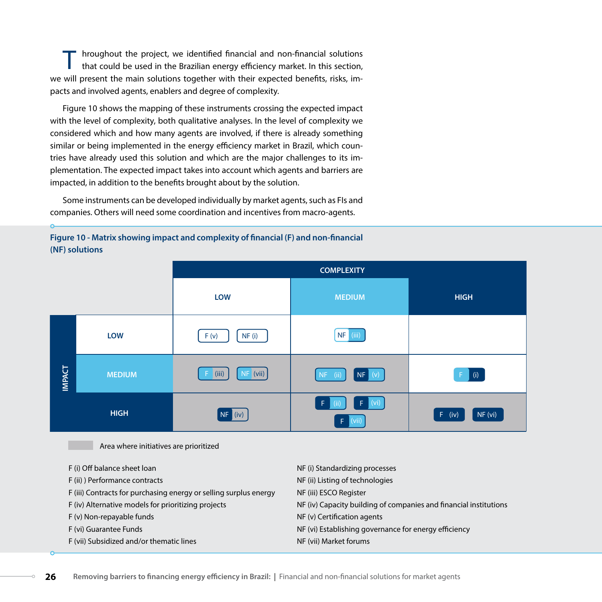T hroughout the project, we identified financial and non-financial solutions that could be used in the Brazilian energy efficiency market. In this section, we will present the main solutions together with their expected benefits, risks, impacts and involved agents, enablers and degree of complexity.

Figure 10 shows the mapping of these instruments crossing the expected impact with the level of complexity, both qualitative analyses. In the level of complexity we considered which and how many agents are involved, if there is already something similar or being implemented in the energy efficiency market in Brazil, which countries have already used this solution and which are the major challenges to its implementation. The expected impact takes into account which agents and barriers are impacted, in addition to the benefits brought about by the solution.

Some instruments can be developed individually by market agents, such as FIs and companies. Others will need some coordination and incentives from macro-agents.

#### **Figure 10 - Matrix showing impact and complexity of financial (F) and non-financial (NF) solutions**

|               |               | <b>LOW</b>          | <b>MEDIUM</b>                   | <b>HIGH</b>         |
|---------------|---------------|---------------------|---------------------------------|---------------------|
|               | <b>LOW</b>    | NF(i)<br>F(v)       | (iii)<br>NF                     |                     |
| <b>IMPACT</b> | <b>MEDIUM</b> | $NF$ (vii)<br>(iii) | NF (v)<br>(i)<br>NF             | (i)<br>$F$ .        |
|               | <b>HIGH</b>   | NF (iv)             | $F$ (vi)<br>Æ.<br>(ii)<br>(vii) | NF (vi)<br>$F$ (iv) |

Area where initiatives are prioritized

| F (i) Off balance sheet loan                                      | NF (i) Standardizing processes                                    |
|-------------------------------------------------------------------|-------------------------------------------------------------------|
| F (ii) ) Performance contracts                                    | NF (ii) Listing of technologies                                   |
| F (iii) Contracts for purchasing energy or selling surplus energy | NF (iii) ESCO Register                                            |
| F (iv) Alternative models for prioritizing projects               | NF (iv) Capacity building of companies and financial institutions |
| F (v) Non-repayable funds                                         | NF (v) Certification agents                                       |
| F (vi) Guarantee Funds                                            | NF (vi) Establishing governance for energy efficiency             |
| F (vii) Subsidized and/or thematic lines                          | NF (vii) Market forums                                            |
|                                                                   |                                                                   |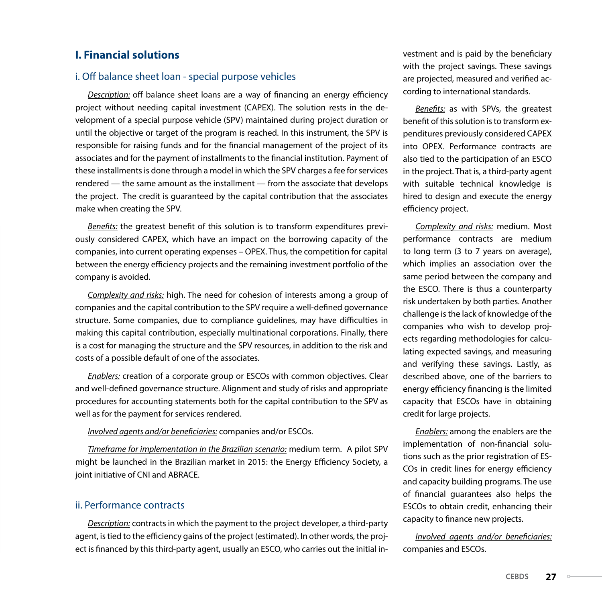#### **I. Financial solutions**

#### i. Off balance sheet loan - special purpose vehicles

*Description:* off balance sheet loans are a way of financing an energy efficiency project without needing capital investment (CAPEX). The solution rests in the development of a special purpose vehicle (SPV) maintained during project duration or until the objective or target of the program is reached. In this instrument, the SPV is responsible for raising funds and for the financial management of the project of its associates and for the payment of installments to the financial institution. Payment of these installments is done through a model in which the SPV charges a fee for services rendered — the same amount as the installment — from the associate that develops the project. The credit is guaranteed by the capital contribution that the associates make when creating the SPV.

*Benefits:* the greatest benefit of this solution is to transform expenditures previously considered CAPEX, which have an impact on the borrowing capacity of the companies, into current operating expenses – OPEX. Thus, the competition for capital between the energy efficiency projects and the remaining investment portfolio of the company is avoided.

*Complexity and risks:* high. The need for cohesion of interests among a group of companies and the capital contribution to the SPV require a well-defined governance structure. Some companies, due to compliance guidelines, may have difficulties in making this capital contribution, especially multinational corporations. Finally, there is a cost for managing the structure and the SPV resources, in addition to the risk and costs of a possible default of one of the associates.

*Enablers:* creation of a corporate group or ESCOs with common objectives. Clear and well-defined governance structure. Alignment and study of risks and appropriate procedures for accounting statements both for the capital contribution to the SPV as well as for the payment for services rendered.

#### *Involved agents and/or beneficiaries:* companies and/or ESCOs.

*Timeframe for implementation in the Brazilian scenario:* medium term. A pilot SPV might be launched in the Brazilian market in 2015: the Energy Efficiency Society, a joint initiative of CNI and ABRACE.

#### ii. Performance contracts

*Description:* contracts in which the payment to the project developer, a third-party agent, is tied to the efficiency gains of the project (estimated). In other words, the project is financed by this third-party agent, usually an ESCO, who carries out the initial investment and is paid by the beneficiary with the project savings. These savings are projected, measured and verified according to international standards.

*Benefits:* as with SPVs, the greatest benefit of this solution is to transform expenditures previously considered CAPEX into OPEX. Performance contracts are also tied to the participation of an ESCO in the project. That is, a third-party agent with suitable technical knowledge is hired to design and execute the energy efficiency project.

*Complexity and risks:* medium. Most performance contracts are medium to long term (3 to 7 years on average), which implies an association over the same period between the company and the ESCO. There is thus a counterparty risk undertaken by both parties. Another challenge is the lack of knowledge of the companies who wish to develop projects regarding methodologies for calculating expected savings, and measuring and verifying these savings. Lastly, as described above, one of the barriers to energy efficiency financing is the limited capacity that ESCOs have in obtaining credit for large projects.

*Enablers:* among the enablers are the implementation of non-financial solutions such as the prior registration of ES-COs in credit lines for energy efficiency and capacity building programs. The use of financial guarantees also helps the ESCOs to obtain credit, enhancing their capacity to finance new projects.

*Involved agents and/or beneficiaries:*  companies and ESCOs.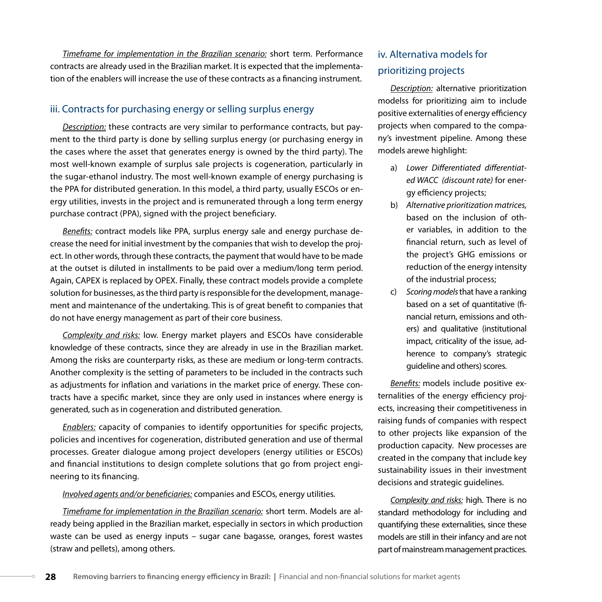*Timeframe for implementation in the Brazilian scenario:* short term. Performance contracts are already used in the Brazilian market. It is expected that the implementation of the enablers will increase the use of these contracts as a financing instrument.

#### iii. Contracts for purchasing energy or selling surplus energy

*Description:* these contracts are very similar to performance contracts, but payment to the third party is done by selling surplus energy (or purchasing energy in the cases where the asset that generates energy is owned by the third party). The most well-known example of surplus sale projects is cogeneration, particularly in the sugar-ethanol industry. The most well-known example of energy purchasing is the PPA for distributed generation. In this model, a third party, usually ESCOs or energy utilities, invests in the project and is remunerated through a long term energy purchase contract (PPA), signed with the project beneficiary.

*Benefits:* contract models like PPA, surplus energy sale and energy purchase decrease the need for initial investment by the companies that wish to develop the project. In other words, through these contracts, the payment that would have to be made at the outset is diluted in installments to be paid over a medium/long term period. Again, CAPEX is replaced by OPEX. Finally, these contract models provide a complete solution for businesses, as the third party is responsible for the development, management and maintenance of the undertaking. This is of great benefit to companies that do not have energy management as part of their core business.

*Complexity and risks:* low. Energy market players and ESCOs have considerable knowledge of these contracts, since they are already in use in the Brazilian market. Among the risks are counterparty risks, as these are medium or long-term contracts. Another complexity is the setting of parameters to be included in the contracts such as adjustments for inflation and variations in the market price of energy. These contracts have a specific market, since they are only used in instances where energy is generated, such as in cogeneration and distributed generation.

*Enablers:* capacity of companies to identify opportunities for specific projects, policies and incentives for cogeneration, distributed generation and use of thermal processes. Greater dialogue among project developers (energy utilities or ESCOs) and financial institutions to design complete solutions that go from project engineering to its financing.

#### *Involved agents and/or beneficiaries:* companies and ESCOs, energy utilities*.*

*Timeframe for implementation in the Brazilian scenario:* short term. Models are already being applied in the Brazilian market, especially in sectors in which production waste can be used as energy inputs – sugar cane bagasse, oranges, forest wastes (straw and pellets), among others.

#### iv. Alternativa models for prioritizing projects

*Description:* alternative prioritization modelss for prioritizing aim to include positive externalities of energy efficiency projects when compared to the company's investment pipeline. Among these models arewe highlight:

- a) *Lower Differentiated differentiated WACC (discount rate)* for energy efficiency projects;
- b) *Alternative prioritization matrices,*  based on the inclusion of other variables, in addition to the financial return, such as level of the project's GHG emissions or reduction of the energy intensity of the industrial process;
- c) *Scoring models* that have a ranking based on a set of quantitative (financial return, emissions and others) and qualitative (institutional impact, criticality of the issue, adherence to company's strategic guideline and others) scores.

*Benefits:* models include positive externalities of the energy efficiency projects, increasing their competitiveness in raising funds of companies with respect to other projects like expansion of the production capacity. New processes are created in the company that include key sustainability issues in their investment decisions and strategic guidelines.

*Complexity and risks:* high. There is no standard methodology for including and quantifying these externalities, since these models are still in their infancy and are not part of mainstream management practices.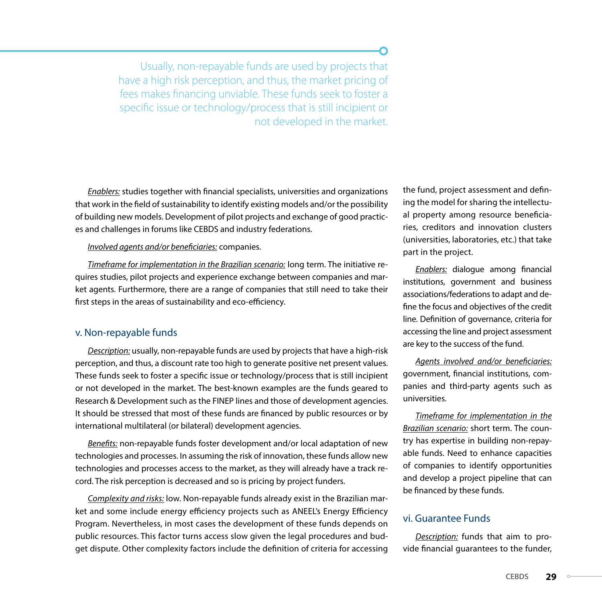Usually, non-repayable funds are used by projects that have a high risk perception, and thus, the market pricing of fees makes financing unviable. These funds seek to foster a specific issue or technology/process that is still incipient or not developed in the market.

*Enablers:* studies together with financial specialists, universities and organizations that work in the field of sustainability to identify existing models and/or the possibility of building new models. Development of pilot projects and exchange of good practices and challenges in forums like CEBDS and industry federations.

#### *Involved agents and/or beneficiaries:* companies.

*Timeframe for implementation in the Brazilian scenario:* long term. The initiative requires studies, pilot projects and experience exchange between companies and market agents. Furthermore, there are a range of companies that still need to take their first steps in the areas of sustainability and eco-efficiency.

#### v. Non-repayable funds

*Description:* usually, non-repayable funds are used by projects that have a high-risk perception, and thus, a discount rate too high to generate positive net present values. These funds seek to foster a specific issue or technology/process that is still incipient or not developed in the market. The best-known examples are the funds geared to Research & Development such as the FINEP lines and those of development agencies. It should be stressed that most of these funds are financed by public resources or by international multilateral (or bilateral) development agencies.

*Benefits:* non-repayable funds foster development and/or local adaptation of new technologies and processes. In assuming the risk of innovation, these funds allow new technologies and processes access to the market, as they will already have a track record. The risk perception is decreased and so is pricing by project funders.

*Complexity and risks:* low. Non-repayable funds already exist in the Brazilian market and some include energy efficiency projects such as ANEEL's Energy Efficiency Program. Nevertheless, in most cases the development of these funds depends on public resources. This factor turns access slow given the legal procedures and budget dispute. Other complexity factors include the definition of criteria for accessing the fund, project assessment and defining the model for sharing the intellectual property among resource beneficiaries, creditors and innovation clusters (universities, laboratories, etc.) that take part in the project.

*Enablers:* dialogue among financial institutions, government and business associations/federations to adapt and define the focus and objectives of the credit line. Definition of governance, criteria for accessing the line and project assessment are key to the success of the fund.

*Agents involved and/or beneficiaries:*  government, financial institutions, companies and third-party agents such as universities.

*Timeframe for implementation in the Brazilian scenario:* short term. The country has expertise in building non-repayable funds. Need to enhance capacities of companies to identify opportunities and develop a project pipeline that can be financed by these funds.

#### vi. Guarantee Funds

*Description:* funds that aim to provide financial guarantees to the funder,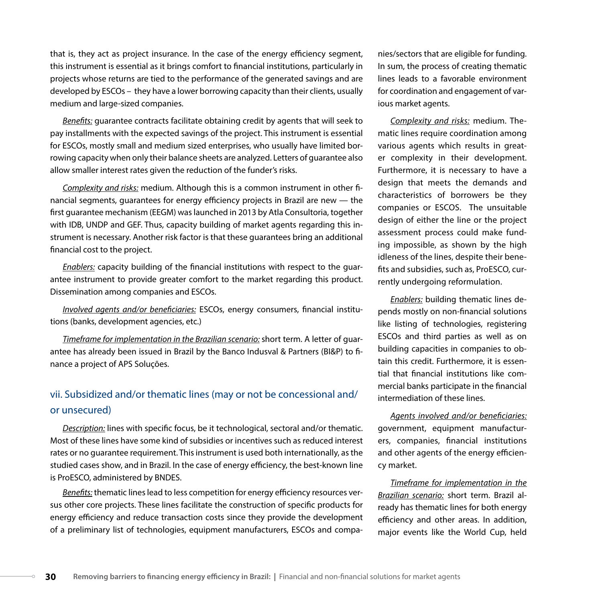that is, they act as project insurance. In the case of the energy efficiency segment, this instrument is essential as it brings comfort to financial institutions, particularly in projects whose returns are tied to the performance of the generated savings and are developed by ESCOs – they have a lower borrowing capacity than their clients, usually medium and large-sized companies.

*Benefits:* guarantee contracts facilitate obtaining credit by agents that will seek to pay installments with the expected savings of the project. This instrument is essential for ESCOs, mostly small and medium sized enterprises, who usually have limited borrowing capacity when only their balance sheets are analyzed. Letters of guarantee also allow smaller interest rates given the reduction of the funder's risks.

*Complexity and risks:* medium. Although this is a common instrument in other financial segments, guarantees for energy efficiency projects in Brazil are new — the first guarantee mechanism (EEGM) was launched in 2013 by Atla Consultoria, together with IDB, UNDP and GEF. Thus, capacity building of market agents regarding this instrument is necessary. Another risk factor is that these guarantees bring an additional financial cost to the project.

*Enablers:* capacity building of the financial institutions with respect to the guarantee instrument to provide greater comfort to the market regarding this product. Dissemination among companies and ESCOs.

*Involved agents and/or beneficiaries:* ESCOs, energy consumers, financial institutions (banks, development agencies, etc.)

*Timeframe for implementation in the Brazilian scenario:* short term. A letter of guarantee has already been issued in Brazil by the Banco Indusval & Partners (BI&P) to finance a project of APS Soluções.

#### vii. Subsidized and/or thematic lines (may or not be concessional and/ or unsecured)

*Description:* lines with specific focus, be it technological, sectoral and/or thematic. Most of these lines have some kind of subsidies or incentives such as reduced interest rates or no guarantee requirement. This instrument is used both internationally, as the studied cases show, and in Brazil. In the case of energy efficiency, the best-known line is ProESCO, administered by BNDES.

*Benefits:* thematic lines lead to less competition for energy efficiency resources versus other core projects. These lines facilitate the construction of specific products for energy efficiency and reduce transaction costs since they provide the development of a preliminary list of technologies, equipment manufacturers, ESCOs and companies/sectors that are eligible for funding. In sum, the process of creating thematic lines leads to a favorable environment for coordination and engagement of various market agents.

*Complexity and risks:* medium. Thematic lines require coordination among various agents which results in greater complexity in their development. Furthermore, it is necessary to have a design that meets the demands and characteristics of borrowers be they companies or ESCOS. The unsuitable design of either the line or the project assessment process could make funding impossible, as shown by the high idleness of the lines, despite their benefits and subsidies, such as, ProESCO, currently undergoing reformulation.

*Enablers:* building thematic lines depends mostly on non-financial solutions like listing of technologies, registering ESCOs and third parties as well as on building capacities in companies to obtain this credit. Furthermore, it is essential that financial institutions like commercial banks participate in the financial intermediation of these lines.

*Agents involved and/or beneficiaries:*  government, equipment manufacturers, companies, financial institutions and other agents of the energy efficiency market.

*Timeframe for implementation in the Brazilian scenario:* short term. Brazil already has thematic lines for both energy efficiency and other areas. In addition, major events like the World Cup, held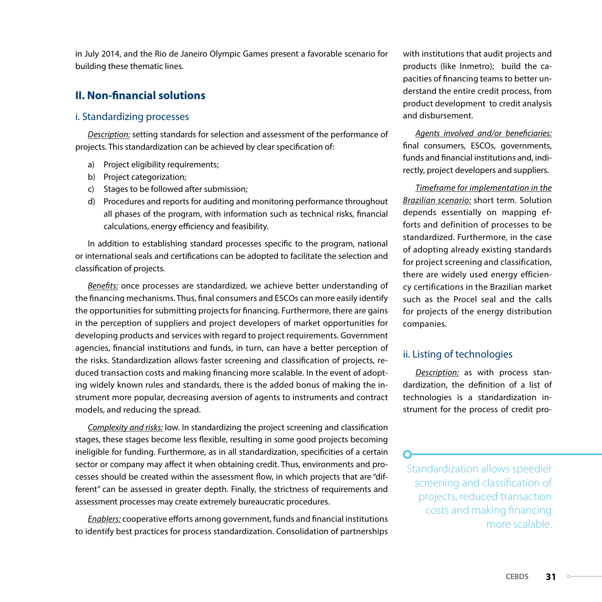in July 2014, and the Rio de Janeiro Olympic Games present a favorable scenario for building these thematic lines.

#### **II. Non-financial solutions**

#### i. Standardizing processes

*Description:* setting standards for selection and assessment of the performance of projects. This standardization can be achieved by clear specification of:

- a) Project eligibility requirements;
- b) Project categorization;
- c) Stages to be followed after submission;
- d) Procedures and reports for auditing and monitoring performance throughout all phases of the program, with information such as technical risks, financial calculations, energy efficiency and feasibility.

In addition to establishing standard processes specific to the program, national or international seals and certifications can be adopted to facilitate the selection and classification of projects.

*Benefits:* once processes are standardized, we achieve better understanding of the financing mechanisms. Thus, final consumers and ESCOs can more easily identify the opportunities for submitting projects for financing. Furthermore, there are gains in the perception of suppliers and project developers of market opportunities for developing products and services with regard to project requirements. Government agencies, financial institutions and funds, in turn, can have a better perception of the risks. Standardization allows faster screening and classification of projects, reduced transaction costs and making financing more scalable. In the event of adopting widely known rules and standards, there is the added bonus of making the instrument more popular, decreasing aversion of agents to instruments and contract models, and reducing the spread.

*Complexity and risks:* low. In standardizing the project screening and classification stages, these stages become less flexible, resulting in some good projects becoming ineligible for funding. Furthermore, as in all standardization, specificities of a certain sector or company may affect it when obtaining credit. Thus, environments and processes should be created within the assessment flow, in which projects that are "different" can be assessed in greater depth. Finally, the strictness of requirements and assessment processes may create extremely bureaucratic procedures.

*Enablers:* cooperative efforts among government, funds and financial institutions to identify best practices for process standardization. Consolidation of partnerships with institutions that audit projects and products (like Inmetro); build the capacities of financing teams to better understand the entire credit process, from product development to credit analysis and disbursement.

*Agents involved and/or beneficiaries:* final consumers, ESCOs, governments, funds and financial institutions and, indirectly, project developers and suppliers.

*Timeframe for implementation in the Brazilian scenario:* short term. Solution depends essentially on mapping efforts and definition of processes to be standardized. Furthermore, in the case of adopting already existing standards for project screening and classification, there are widely used energy efficiency certifications in the Brazilian market such as the Procel seal and the calls for projects of the energy distribution companies.

#### ii. Listing of technologies

*Description:* as with process standardization, the definition of a list of technologies is a standardization instrument for the process of credit pro-

Standardization allows speedier screening and classification of projects, reduced transaction costs and making financing more scalable.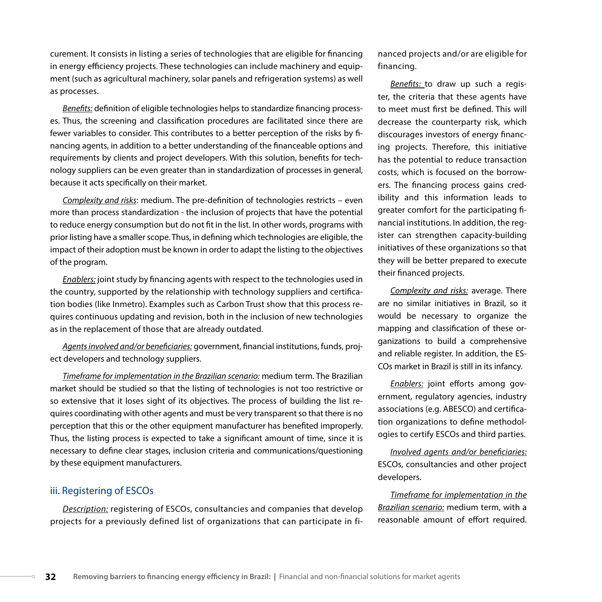curement. It consists in listing a series of technologies that are eligible for financing in energy efficiency projects. These technologies can include machinery and equipment (such as agricultural machinery, solar panels and refrigeration systems) as well as processes.

*Benefits:* definition of eligible technologies helps to standardize financing processes. Thus, the screening and classification procedures are facilitated since there are fewer variables to consider. This contributes to a better perception of the risks by financing agents, in addition to a better understanding of the financeable options and requirements by clients and project developers. With this solution, benefits for technology suppliers can be even greater than in standardization of processes in general, because it acts specifically on their market.

*Complexity and risks*: medium. The pre-definition of technologies restricts – even more than process standardization - the inclusion of projects that have the potential to reduce energy consumption but do not fit in the list. In other words, programs with prior listing have a smaller scope. Thus, in defining which technologies are eligible, the impact of their adoption must be known in order to adapt the listing to the objectives of the program.

*Enablers:* joint study by financing agents with respect to the technologies used in the country, supported by the relationship with technology suppliers and certification bodies (like Inmetro). Examples such as Carbon Trust show that this process requires continuous updating and revision, both in the inclusion of new technologies as in the replacement of those that are already outdated.

*Agents involved and/or beneficiaries:* government, financial institutions, funds, project developers and technology suppliers.

*Timeframe for implementation in the Brazilian scenario:* medium term. The Brazilian market should be studied so that the listing of technologies is not too restrictive or so extensive that it loses sight of its objectives. The process of building the list requires coordinating with other agents and must be very transparent so that there is no perception that this or the other equipment manufacturer has benefited improperly. Thus, the listing process is expected to take a significant amount of time, since it is necessary to define clear stages, inclusion criteria and communications/questioning by these equipment manufacturers.

#### iii. Registering of ESCOs

*Description:* registering of ESCOs, consultancies and companies that develop projects for a previously defined list of organizations that can participate in financed projects and/or are eligible for financing.

*Benefits:* to draw up such a register, the criteria that these agents have to meet must first be defined. This will decrease the counterparty risk, which discourages investors of energy financing projects. Therefore, this initiative has the potential to reduce transaction costs, which is focused on the borrowers. The financing process gains credibility and this information leads to greater comfort for the participating financial institutions. In addition, the register can strengthen capacity-building initiatives of these organizations so that they will be better prepared to execute their financed projects.

*Complexity and risks:* average. There are no similar initiatives in Brazil, so it would be necessary to organize the mapping and classification of these organizations to build a comprehensive and reliable register. In addition, the ES-COs market in Brazil is still in its infancy.

*Enablers:* joint efforts among government, regulatory agencies, industry associations (e.g. ABESCO) and certification organizations to define methodologies to certify ESCOs and third parties.

*Involved agents and/or beneficiaries:*  ESCOs, consultancies and other project developers.

*Timeframe for implementation in the Brazilian scenario:* medium term, with a reasonable amount of effort required.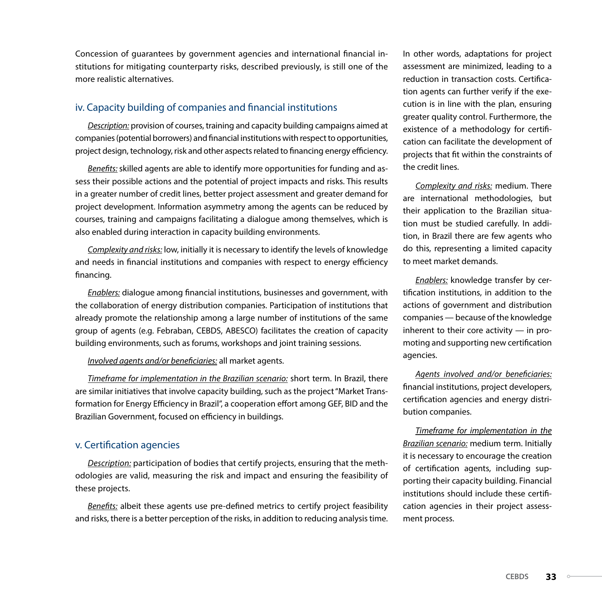Concession of guarantees by government agencies and international financial institutions for mitigating counterparty risks, described previously, is still one of the more realistic alternatives.

#### iv. Capacity building of companies and financial institutions

*Description:* provision of courses, training and capacity building campaigns aimed at companies (potential borrowers) and financial institutions with respect to opportunities, project design, technology, risk and other aspects related to financing energy efficiency.

*Benefits:* skilled agents are able to identify more opportunities for funding and assess their possible actions and the potential of project impacts and risks. This results in a greater number of credit lines, better project assessment and greater demand for project development. Information asymmetry among the agents can be reduced by courses, training and campaigns facilitating a dialogue among themselves, which is also enabled during interaction in capacity building environments.

*Complexity and risks:* low, initially it is necessary to identify the levels of knowledge and needs in financial institutions and companies with respect to energy efficiency financing.

*Enablers:* dialogue among financial institutions, businesses and government, with the collaboration of energy distribution companies. Participation of institutions that already promote the relationship among a large number of institutions of the same group of agents (e.g. Febraban, CEBDS, ABESCO) facilitates the creation of capacity building environments, such as forums, workshops and joint training sessions.

#### *Involved agents and/or beneficiaries:* all market agents.

*Timeframe for implementation in the Brazilian scenario:* short term. In Brazil, there are similar initiatives that involve capacity building, such as the project "Market Transformation for Energy Efficiency in Brazil", a cooperation effort among GEF, BID and the Brazilian Government, focused on efficiency in buildings.

#### v. Certification agencies

*Description:* participation of bodies that certify projects, ensuring that the methodologies are valid, measuring the risk and impact and ensuring the feasibility of these projects.

*Benefits:* albeit these agents use pre-defined metrics to certify project feasibility and risks, there is a better perception of the risks, in addition to reducing analysis time. In other words, adaptations for project assessment are minimized, leading to a reduction in transaction costs. Certification agents can further verify if the execution is in line with the plan, ensuring greater quality control. Furthermore, the existence of a methodology for certification can facilitate the development of projects that fit within the constraints of the credit lines.

*Complexity and risks:* medium. There are international methodologies, but their application to the Brazilian situation must be studied carefully. In addition, in Brazil there are few agents who do this, representing a limited capacity to meet market demands.

*Enablers:* knowledge transfer by certification institutions, in addition to the actions of government and distribution companies — because of the knowledge inherent to their core activity — in promoting and supporting new certification agencies.

*Agents involved and/or beneficiaries:* financial institutions, project developers, certification agencies and energy distribution companies.

*Timeframe for implementation in the Brazilian scenario:* medium term. Initially it is necessary to encourage the creation of certification agents, including supporting their capacity building. Financial institutions should include these certification agencies in their project assessment process.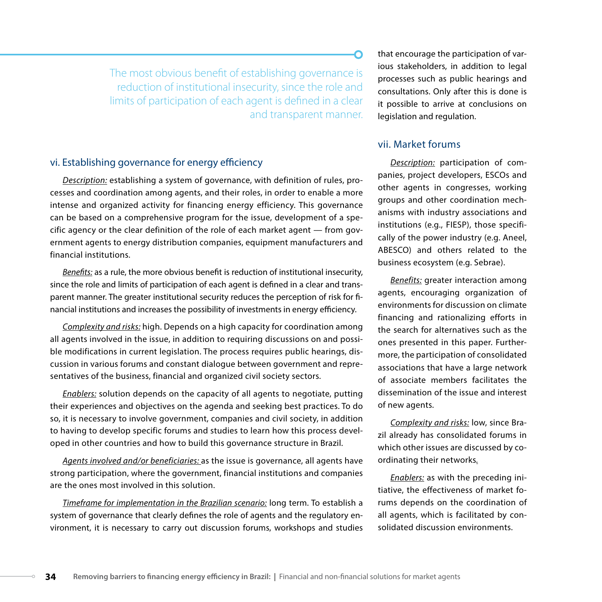The most obvious benefit of establishing governance is reduction of institutional insecurity, since the role and limits of participation of each agent is defined in a clear and transparent manner.

#### vi. Establishing governance for energy efficiency

*Description:* establishing a system of governance, with definition of rules, processes and coordination among agents, and their roles, in order to enable a more intense and organized activity for financing energy efficiency. This governance can be based on a comprehensive program for the issue, development of a specific agency or the clear definition of the role of each market agent — from government agents to energy distribution companies, equipment manufacturers and financial institutions.

*Benefits:* as a rule, the more obvious benefit is reduction of institutional insecurity, since the role and limits of participation of each agent is defined in a clear and transparent manner. The greater institutional security reduces the perception of risk for financial institutions and increases the possibility of investments in energy efficiency.

*Complexity and risks:* high. Depends on a high capacity for coordination among all agents involved in the issue, in addition to requiring discussions on and possible modifications in current legislation. The process requires public hearings, discussion in various forums and constant dialogue between government and representatives of the business, financial and organized civil society sectors.

*Enablers:* solution depends on the capacity of all agents to negotiate, putting their experiences and objectives on the agenda and seeking best practices. To do so, it is necessary to involve government, companies and civil society, in addition to having to develop specific forums and studies to learn how this process developed in other countries and how to build this governance structure in Brazil.

*Agents involved and/or beneficiaries:* as the issue is governance, all agents have strong participation, where the government, financial institutions and companies are the ones most involved in this solution.

*Timeframe for implementation in the Brazilian scenario:* long term. To establish a system of governance that clearly defines the role of agents and the regulatory environment, it is necessary to carry out discussion forums, workshops and studies that encourage the participation of various stakeholders, in addition to legal processes such as public hearings and consultations. Only after this is done is it possible to arrive at conclusions on legislation and regulation.

#### vii. Market forums

*Description:* participation of companies, project developers, ESCOs and other agents in congresses, working groups and other coordination mechanisms with industry associations and institutions (e.g., FIESP), those specifically of the power industry (e.g. Aneel, ABESCO) and others related to the business ecosystem (e.g. Sebrae).

*Benefits:* greater interaction among agents, encouraging organization of environments for discussion on climate financing and rationalizing efforts in the search for alternatives such as the ones presented in this paper. Furthermore, the participation of consolidated associations that have a large network of associate members facilitates the dissemination of the issue and interest of new agents.

*Complexity and risks:* low, since Brazil already has consolidated forums in which other issues are discussed by coordinating their networks*.*

*Enablers:* as with the preceding initiative, the effectiveness of market forums depends on the coordination of all agents, which is facilitated by consolidated discussion environments.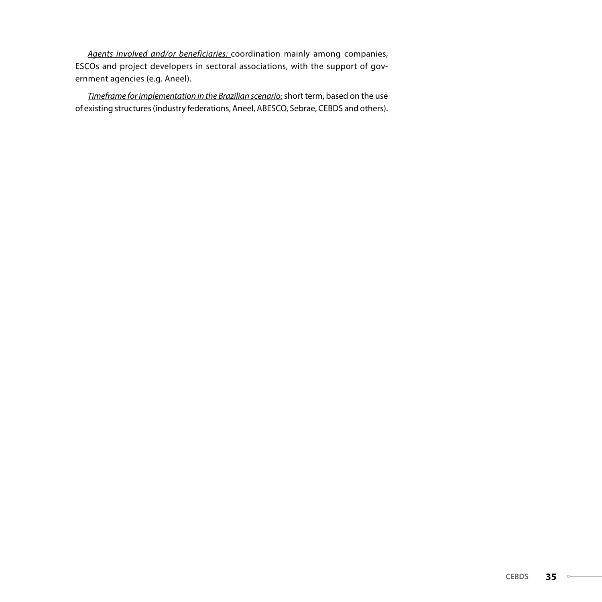*Agents involved and/or beneficiaries:* coordination mainly among companies, ESCOs and project developers in sectoral associations, with the support of government agencies (e.g. Aneel).

*Timeframe for implementation in the Brazilian scenario:* short term, based on the use of existing structures (industry federations, Aneel, ABESCO, Sebrae, CEBDS and others).

 $\circ\hspace{-1.7mm}-$